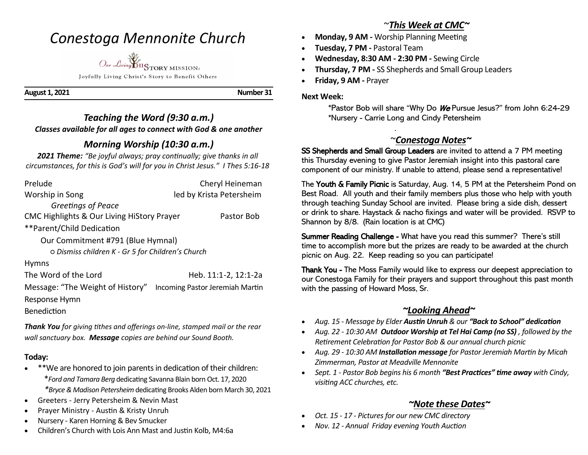# *Conestoga Mennonite Church*



Joyfully Living Christ's Story to Benefit Others

**August 1, 2021 Number 31** 

#### *Teaching the Word (9:30 a.m.) Classes available for all ages to connect with God & one another*

### *Morning Worship (10:30 a.m.)*

*2021 Theme: "Be joyful always; pray continually; give thanks in all circumstances, for this is God's will for you in Christ Jesus." I Thes 5:16-18*

| Prelude                                           | Cheryl Heineman                 |
|---------------------------------------------------|---------------------------------|
| Worship in Song                                   | led by Krista Petersheim        |
| Greetings of Peace                                |                                 |
| CMC Highlights & Our Living HiStory Prayer        | Pastor Bob                      |
| **Parent/Child Dedication                         |                                 |
| Our Commitment #791 (Blue Hymnal)                 |                                 |
| O Dismiss children K - Gr 5 for Children's Church |                                 |
| <b>Hymns</b>                                      |                                 |
| The Word of the Lord                              | Heb. 11:1-2, 12:1-2a            |
| Message: "The Weight of History"                  | Incoming Pastor Jeremiah Martin |
| Response Hymn                                     |                                 |
| <b>Benediction</b>                                |                                 |

*Thank You for giving tithes and offerings on-line, stamped mail or the rear wall sanctuary box. Message copies are behind our Sound Booth.*

#### **Today:**

- \*\*We are honored to join parents in dedication of their children: \**Ford and Tamara Berg* dedicating Savanna Blain born Oct. 17, 2020 *\*Bryce & Madison Petersheim* dedicating Brooks Alden born March 30, 2021
- Greeters Jerry Petersheim & Nevin Mast
- Prayer Ministry Austin & Kristy Unruh
- Nursery Karen Horning & Bev Smucker
- Children's Church with Lois Ann Mast and Justin Kolb, M4:6a

### ~*This Week at CMC~*

- **Monday, 9 AM -** Worship Planning Meeting
- **Tuesday, 7 PM -** Pastoral Team

.

- **Wednesday, 8:30 AM - 2:30 PM -** Sewing Circle
- **Thursday, 7 PM -** SS Shepherds and Small Group Leaders
- **Friday, 9 AM -** Prayer

#### **Next Week:**

 \*Pastor Bob will share "Why Do We Pursue Jesus?" from John 6:24-29 \*Nursery - Carrie Long and Cindy Petersheim

## ~*Conestoga Notes~*

SS Shepherds and Small Group Leaders are invited to attend a 7 PM meeting this Thursday evening to give Pastor Jeremiah insight into this pastoral care component of our ministry. If unable to attend, please send a representative!

The Youth & Family Picnic is Saturday, Aug. 14, 5 PM at the Petersheim Pond on Best Road. All youth and their family members plus those who help with youth through teaching Sunday School are invited. Please bring a side dish, dessert or drink to share. Haystack & nacho fixings and water will be provided. RSVP to Shannon by 8/8. (Rain location is at CMC)

Summer Reading Challenge - What have you read this summer? There's still time to accomplish more but the prizes are ready to be awarded at the church picnic on Aug. 22. Keep reading so you can participate!

Thank You - The Moss Family would like to express our deepest appreciation to our Conestoga Family for their prayers and support throughout this past month with the passing of Howard Moss, Sr. Ī

## *~Looking Ahead~*

- *Aug. 15 - Message by Elder Austin Unruh & our "Back to School" dedication*
- *Aug. 22 - 10:30 AM Outdoor Worship at Tel Hai Camp (no SS) , followed by the Retirement Celebration for Pastor Bob & our annual church picnic*
- *Aug. 29 - 10:30 AM Installation message for Pastor Jeremiah Martin by Micah Zimmerman, Pastor at Meadville Mennonite*
- *Sept. 1 - Pastor Bob begins his 6 month "Best Practices" time away with Cindy, visiting ACC churches, etc.*

### *~Note these Dates~*

- *Oct. 15 - 17 - Pictures for our new CMC directory*
- *Nov. 12 - Annual Friday evening Youth Auction*